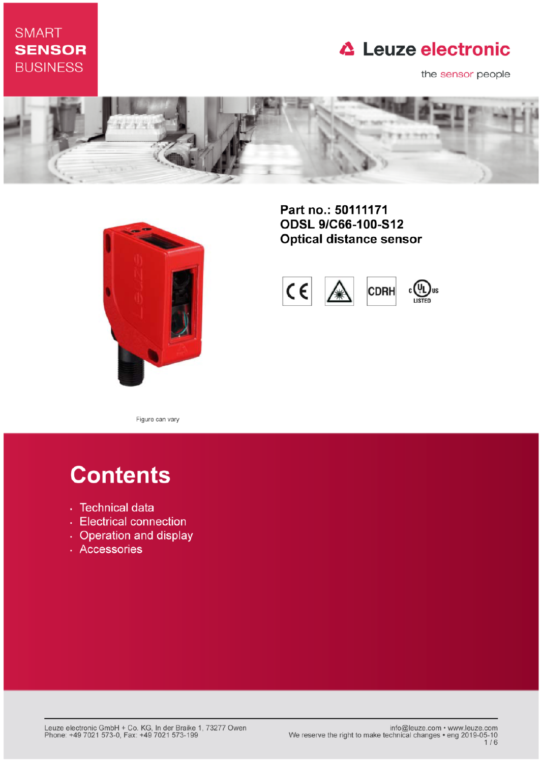## **SMART SENSOR BUSINESS**

# **△ Leuze electronic**

the sensor people





Part no.: 50111171 **ODSL 9/C66-100-S12 Optical distance sensor** 



Figure can vary

# **Contents**

- · Technical data
- Electrical connection
- Operation and display
- · Accessories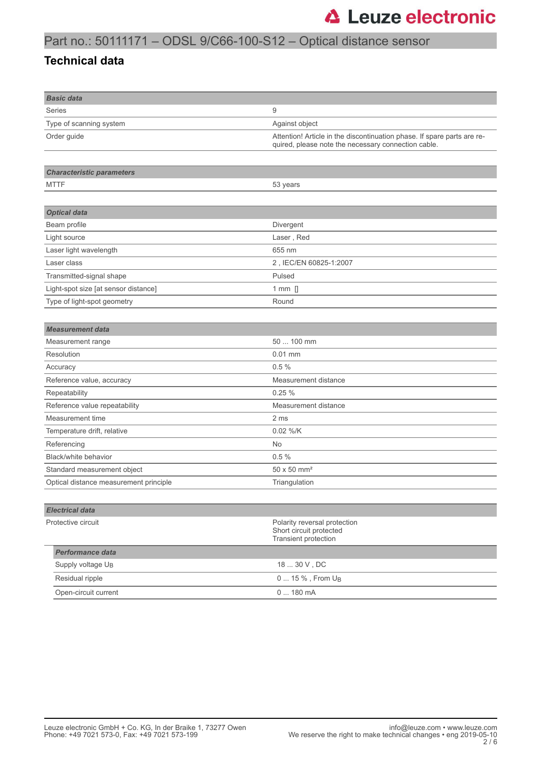## Part no.: 50111171 – ODSL 9/C66-100-S12 – Optical distance sensor

#### **Technical data**

| <b>Basic data</b>                      |                                                                                                                                |  |
|----------------------------------------|--------------------------------------------------------------------------------------------------------------------------------|--|
| <b>Series</b>                          | 9                                                                                                                              |  |
| Type of scanning system                | Against object                                                                                                                 |  |
| Order guide                            | Attention! Article in the discontinuation phase. If spare parts are re-<br>quired, please note the necessary connection cable. |  |
| <b>Characteristic parameters</b>       |                                                                                                                                |  |
| <b>MTTF</b>                            |                                                                                                                                |  |
|                                        | 53 years                                                                                                                       |  |
| <b>Optical data</b>                    |                                                                                                                                |  |
| Beam profile                           | Divergent                                                                                                                      |  |
| Light source                           | Laser, Red                                                                                                                     |  |
| Laser light wavelength                 | 655 nm                                                                                                                         |  |
| Laser class                            | 2, IEC/EN 60825-1:2007                                                                                                         |  |
| Transmitted-signal shape               | Pulsed                                                                                                                         |  |
| Light-spot size [at sensor distance]   | 1 mm $[]$                                                                                                                      |  |
| Type of light-spot geometry            | Round                                                                                                                          |  |
|                                        |                                                                                                                                |  |
| <b>Measurement data</b>                |                                                                                                                                |  |
| Measurement range                      | 50  100 mm                                                                                                                     |  |
| Resolution                             | $0.01$ mm                                                                                                                      |  |
| Accuracy                               | 0.5%                                                                                                                           |  |
| Reference value, accuracy              | Measurement distance                                                                                                           |  |
| Repeatability                          | 0.25%                                                                                                                          |  |
| Reference value repeatability          | Measurement distance                                                                                                           |  |
| Measurement time                       | 2 ms                                                                                                                           |  |
| Temperature drift, relative            | 0.02 %/K                                                                                                                       |  |
| Referencing                            | No                                                                                                                             |  |
| Black/white behavior                   | 0.5%                                                                                                                           |  |
| Standard measurement object            | $50 \times 50$ mm <sup>2</sup>                                                                                                 |  |
| Optical distance measurement principle | Triangulation                                                                                                                  |  |
|                                        |                                                                                                                                |  |
| <b>Electrical data</b>                 |                                                                                                                                |  |
| Protective circuit                     | Polarity reversal protection<br>Short circuit protected<br>Transient protection                                                |  |
| <b>Performance data</b>                |                                                                                                                                |  |
| Supply voltage U <sub>B</sub>          | 18  30 V, DC                                                                                                                   |  |
| Residual ripple                        | 0  15 %, From U <sub>B</sub>                                                                                                   |  |
| Open-circuit current                   | 0  180 mA                                                                                                                      |  |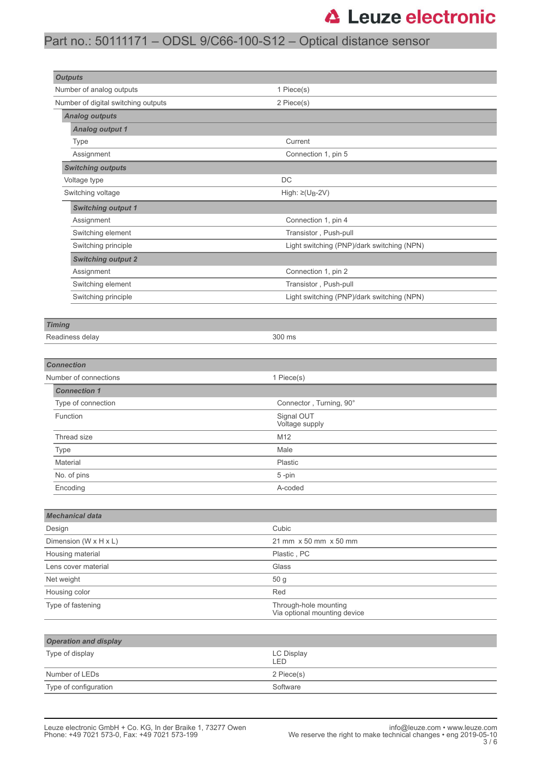# **△ Leuze electronic**

## Part no.: 50111171 – ODSL 9/C66-100-S12 – Optical distance sensor

| <b>Outputs</b>                                                             |                                            |                                            |  |  |
|----------------------------------------------------------------------------|--------------------------------------------|--------------------------------------------|--|--|
| Number of analog outputs                                                   | 1 Piece(s)                                 |                                            |  |  |
| Number of digital switching outputs                                        | 2 Piece(s)                                 |                                            |  |  |
| <b>Analog outputs</b>                                                      |                                            |                                            |  |  |
| <b>Analog output 1</b>                                                     |                                            |                                            |  |  |
| Type                                                                       | Current                                    |                                            |  |  |
| Assignment                                                                 | Connection 1, pin 5                        |                                            |  |  |
| <b>Switching outputs</b>                                                   |                                            |                                            |  |  |
| Voltage type                                                               | DC                                         |                                            |  |  |
| Switching voltage                                                          | High: $\geq$ (U <sub>B</sub> -2V)          |                                            |  |  |
| <b>Switching output 1</b>                                                  |                                            |                                            |  |  |
| Assignment                                                                 | Connection 1, pin 4                        |                                            |  |  |
| Switching element                                                          | Transistor, Push-pull                      |                                            |  |  |
| Switching principle                                                        |                                            | Light switching (PNP)/dark switching (NPN) |  |  |
| <b>Switching output 2</b>                                                  |                                            |                                            |  |  |
| Assignment                                                                 | Connection 1, pin 2                        |                                            |  |  |
| Switching element                                                          | Transistor, Push-pull                      |                                            |  |  |
| Switching principle                                                        | Light switching (PNP)/dark switching (NPN) |                                            |  |  |
|                                                                            |                                            |                                            |  |  |
| <b>Timing</b>                                                              |                                            |                                            |  |  |
| Readiness delay                                                            | 300 ms                                     |                                            |  |  |
|                                                                            |                                            |                                            |  |  |
| <b>Connection</b>                                                          |                                            |                                            |  |  |
| Number of connections                                                      | 1 Piece(s)                                 |                                            |  |  |
| <b>Connection 1</b>                                                        |                                            |                                            |  |  |
| Type of connection                                                         | Connector, Turning, 90°                    |                                            |  |  |
| Signal OUT<br>Function<br>Voltage supply                                   |                                            |                                            |  |  |
| Thread size                                                                | M12                                        |                                            |  |  |
| Type                                                                       | Male                                       |                                            |  |  |
| Material                                                                   | Plastic                                    |                                            |  |  |
| No. of pins                                                                | $5 - pin$                                  |                                            |  |  |
| Encoding                                                                   | A-coded                                    |                                            |  |  |
|                                                                            |                                            |                                            |  |  |
| <b>Mechanical data</b>                                                     |                                            |                                            |  |  |
| Design                                                                     | Cubic                                      |                                            |  |  |
| Dimension (W x H x L)                                                      | 21 mm x 50 mm x 50 mm                      |                                            |  |  |
| Housing material                                                           | Plastic, PC                                |                                            |  |  |
| Glass<br>Lens cover material                                               |                                            |                                            |  |  |
| Net weight<br>50 g                                                         |                                            |                                            |  |  |
| Housing color                                                              | Red                                        |                                            |  |  |
| Type of fastening<br>Through-hole mounting<br>Via optional mounting device |                                            |                                            |  |  |
| <b>Operation and display</b>                                               |                                            |                                            |  |  |
| Type of display                                                            | LC Display                                 |                                            |  |  |
|                                                                            | LED                                        |                                            |  |  |
| Number of LEDs                                                             | 2 Piece(s)                                 |                                            |  |  |
| Type of configuration                                                      | Software                                   |                                            |  |  |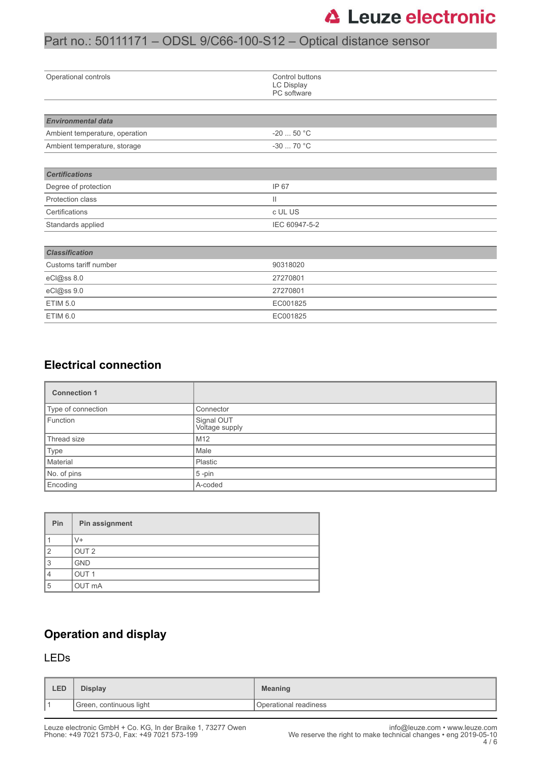## Part no.: 50111171 – ODSL 9/C66-100-S12 – Optical distance sensor

| Operational controls           | Control buttons<br>LC Display<br>PC software |  |  |
|--------------------------------|----------------------------------------------|--|--|
|                                |                                              |  |  |
| <b>Environmental data</b>      |                                              |  |  |
| Ambient temperature, operation | $-2050 °C$                                   |  |  |
| Ambient temperature, storage   | $-3070 °C$                                   |  |  |
|                                |                                              |  |  |
| <b>Certifications</b>          |                                              |  |  |
| Degree of protection           | IP 67                                        |  |  |
| Protection class               | $\mathbf{H}$                                 |  |  |
| Certifications                 | c UL US                                      |  |  |
| Standards applied              | IEC 60947-5-2                                |  |  |
|                                |                                              |  |  |
| <b>Classification</b>          |                                              |  |  |
| Customs tariff number          | 90318020                                     |  |  |
| eCl@ss 8.0                     | 27270801                                     |  |  |
| eCl@ss 9.0                     | 27270801                                     |  |  |
| <b>ETIM 5.0</b>                | EC001825                                     |  |  |
| ETIM 6.0                       | EC001825                                     |  |  |

### **Electrical connection**

| <b>Connection 1</b> |                              |
|---------------------|------------------------------|
| Type of connection  | Connector                    |
| Function            | Signal OUT<br>Voltage supply |
| Thread size         | M12                          |
| Type                | Male                         |
| Material            | Plastic                      |
| No. of pins         | $5$ -pin                     |
| Encoding            | A-coded                      |

| Pin | Pin assignment   |
|-----|------------------|
|     | V+               |
| ◠   | OUT <sub>2</sub> |
| 3   | <b>GND</b>       |
|     | OUT <sub>1</sub> |
| 5   | OUT mA           |

### **Operation and display**

#### LEDs

| LED | <b>Display</b>          | <b>Meaning</b>        |
|-----|-------------------------|-----------------------|
|     | Green, continuous light | Operational readiness |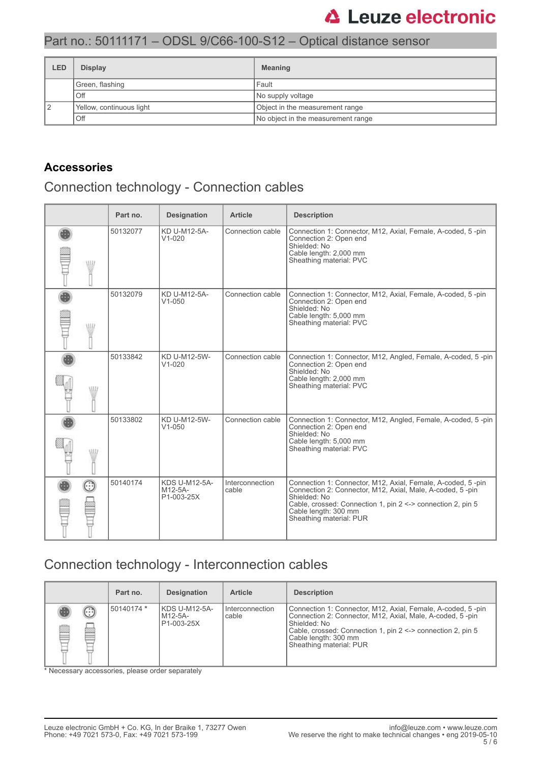# **△ Leuze electronic**

## Part no.: 50111171 – ODSL 9/C66-100-S12 – Optical distance sensor

| LED | <b>Display</b>           | <b>Meaning</b>                     |  |
|-----|--------------------------|------------------------------------|--|
|     | Green, flashing          | Fault                              |  |
|     | Off                      | No supply voltage                  |  |
|     | Yellow, continuous light | Object in the measurement range    |  |
|     | Off                      | No object in the measurement range |  |

### **Accessories**

## Connection technology - Connection cables

|      | Part no. | <b>Designation</b>                            | <b>Article</b>           | <b>Description</b>                                                                                                                                                                                                                                         |
|------|----------|-----------------------------------------------|--------------------------|------------------------------------------------------------------------------------------------------------------------------------------------------------------------------------------------------------------------------------------------------------|
| W    | 50132077 | KD U-M12-5A-<br>$V1 - 020$                    | Connection cable         | Connection 1: Connector, M12, Axial, Female, A-coded, 5-pin<br>Connection 2: Open end<br>Shielded: No<br>Cable length: 2,000 mm<br>Sheathing material: PVC                                                                                                 |
| W    | 50132079 | KD U-M12-5A-<br>$V1 - 050$                    | Connection cable         | Connection 1: Connector, M12, Axial, Female, A-coded, 5-pin<br>Connection 2: Open end<br>Shielded: No<br>Cable length: 5,000 mm<br>Sheathing material: PVC                                                                                                 |
| \ll7 | 50133842 | KD U-M12-5W-<br>$V1 - 020$                    | Connection cable         | Connection 1: Connector, M12, Angled, Female, A-coded, 5-pin<br>Connection 2: Open end<br>Shielded: No<br>Cable length: 2,000 mm<br>Sheathing material: PVC                                                                                                |
| ۱Ш   | 50133802 | KD U-M12-5W-<br>$V1 - 050$                    | Connection cable         | Connection 1: Connector, M12, Angled, Female, A-coded, 5-pin<br>Connection 2: Open end<br>Shielded: No<br>Cable length: 5,000 mm<br>Sheathing material: PVC                                                                                                |
| Œ    | 50140174 | <b>KDS U-M12-5A-</b><br>M12-5A-<br>P1-003-25X | Interconnection<br>cable | Connection 1: Connector, M12, Axial, Female, A-coded, 5-pin<br>Connection 2: Connector, M12, Axial, Male, A-coded, 5-pin<br>Shielded: No<br>Cable, crossed: Connection 1, pin 2 <-> connection 2, pin 5<br>Cable length: 300 mm<br>Sheathing material: PUR |

### Connection technology - Interconnection cables

|        |        | Part no.   | <b>Designation</b>                     | <b>Article</b>             | <b>Description</b>                                                                                                                                                                                                                                         |
|--------|--------|------------|----------------------------------------|----------------------------|------------------------------------------------------------------------------------------------------------------------------------------------------------------------------------------------------------------------------------------------------------|
| ß<br>⋿ | €<br>œ | 50140174 * | KDS U-M12-5A-<br>M12-5A-<br>P1-003-25X | I Interconnection<br>cable | Connection 1: Connector, M12, Axial, Female, A-coded, 5-pin<br>Connection 2: Connector, M12, Axial, Male, A-coded, 5-pin<br>Shielded: No<br>Cable, crossed: Connection 1, pin 2 <-> connection 2, pin 5<br>Cable length: 300 mm<br>Sheathing material: PUR |

\* Necessary accessories, please order separately